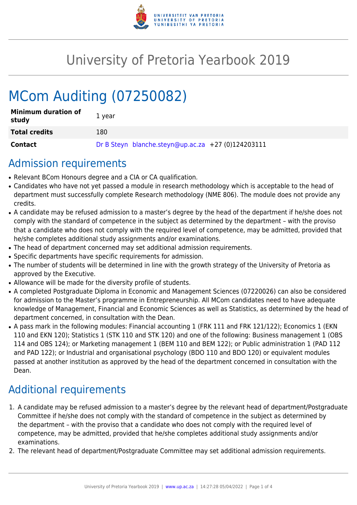

# University of Pretoria Yearbook 2019

# MCom Auditing (07250082)

| <b>Minimum duration of</b><br>study | 1 year                                             |
|-------------------------------------|----------------------------------------------------|
| <b>Total credits</b>                | 180                                                |
| Contact                             | Dr B Steyn blanche.steyn@up.ac.za +27 (0)124203111 |

## Admission requirements

- Relevant BCom Honours degree and a CIA or CA qualification.
- Candidates who have not yet passed a module in research methodology which is acceptable to the head of department must successfully complete Research methodology (NME 806). The module does not provide any credits.
- A candidate may be refused admission to a master's degree by the head of the department if he/she does not comply with the standard of competence in the subject as determined by the department – with the proviso that a candidate who does not comply with the required level of competence, may be admitted, provided that he/she completes additional study assignments and/or examinations.
- The head of department concerned may set additional admission requirements.
- Specific departments have specific requirements for admission.
- The number of students will be determined in line with the growth strategy of the University of Pretoria as approved by the Executive.
- Allowance will be made for the diversity profile of students.
- A completed Postgraduate Diploma in Economic and Management Sciences (07220026) can also be considered for admission to the Master's programme in Entrepreneurship. All MCom candidates need to have adequate knowledge of Management, Financial and Economic Sciences as well as Statistics, as determined by the head of department concerned, in consultation with the Dean.
- A pass mark in the following modules: Financial accounting 1 (FRK 111 and FRK 121/122); Economics 1 (EKN 110 and EKN 120); Statistics 1 (STK 110 and STK 120) and one of the following: Business management 1 (OBS 114 and OBS 124); or Marketing management 1 (BEM 110 and BEM 122); or Public administration 1 (PAD 112 and PAD 122); or Industrial and organisational psychology (BDO 110 and BDO 120) or equivalent modules passed at another institution as approved by the head of the department concerned in consultation with the Dean.

# Additional requirements

- 1. A candidate may be refused admission to a master's degree by the relevant head of department/Postgraduate Committee if he/she does not comply with the standard of competence in the subject as determined by the department – with the proviso that a candidate who does not comply with the required level of competence, may be admitted, provided that he/she completes additional study assignments and/or examinations.
- 2. The relevant head of department/Postgraduate Committee may set additional admission requirements.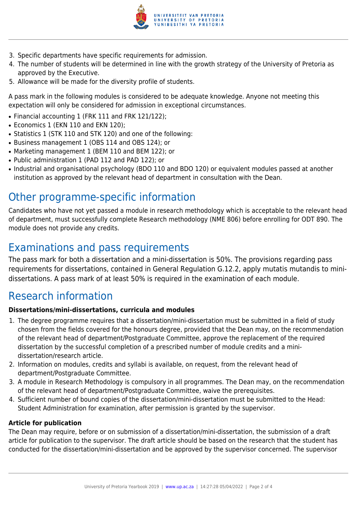

- 3. Specific departments have specific requirements for admission.
- 4. The number of students will be determined in line with the growth strategy of the University of Pretoria as approved by the Executive.
- 5. Allowance will be made for the diversity profile of students.

A pass mark in the following modules is considered to be adequate knowledge. Anyone not meeting this expectation will only be considered for admission in exceptional circumstances.

- Financial accounting 1 (FRK 111 and FRK 121/122);
- Economics 1 (EKN 110 and EKN 120);
- Statistics 1 (STK 110 and STK 120) and one of the following:
- Business management 1 (OBS 114 and OBS 124); or
- Marketing management 1 (BEM 110 and BEM 122); or
- Public administration 1 (PAD 112 and PAD 122); or
- Industrial and organisational psychology (BDO 110 and BDO 120) or equivalent modules passed at another institution as approved by the relevant head of department in consultation with the Dean.

# Other programme-specific information

Candidates who have not yet passed a module in research methodology which is acceptable to the relevant head of department, must successfully complete Research methodology (NME 806) before enrolling for ODT 890. The module does not provide any credits.

# Examinations and pass requirements

The pass mark for both a dissertation and a mini-dissertation is 50%. The provisions regarding pass requirements for dissertations, contained in General Regulation G.12.2, apply mutatis mutandis to minidissertations. A pass mark of at least 50% is required in the examination of each module.

## Research information

#### **Dissertations/mini-dissertations, curricula and modules**

- 1. The degree programme requires that a dissertation/mini-dissertation must be submitted in a field of study chosen from the fields covered for the honours degree, provided that the Dean may, on the recommendation of the relevant head of department/Postgraduate Committee, approve the replacement of the required dissertation by the successful completion of a prescribed number of module credits and a minidissertation/research article.
- 2. Information on modules, credits and syllabi is available, on request, from the relevant head of department/Postgraduate Committee.
- 3. A module in Research Methodology is compulsory in all programmes. The Dean may, on the recommendation of the relevant head of department/Postgraduate Committee, waive the prerequisites.
- 4. Sufficient number of bound copies of the dissertation/mini-dissertation must be submitted to the Head: Student Administration for examination, after permission is granted by the supervisor.

#### **Article for publication**

The Dean may require, before or on submission of a dissertation/mini-dissertation, the submission of a draft article for publication to the supervisor. The draft article should be based on the research that the student has conducted for the dissertation/mini-dissertation and be approved by the supervisor concerned. The supervisor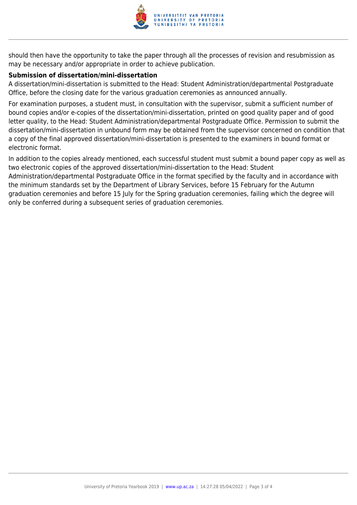

should then have the opportunity to take the paper through all the processes of revision and resubmission as may be necessary and/or appropriate in order to achieve publication.

#### **Submission of dissertation/mini-dissertation**

only be conferred during a subsequent series of graduation ceremonies.

A dissertation/mini-dissertation is submitted to the Head: Student Administration/departmental Postgraduate Office, before the closing date for the various graduation ceremonies as announced annually.

For examination purposes, a student must, in consultation with the supervisor, submit a sufficient number of bound copies and/or e-copies of the dissertation/mini-dissertation, printed on good quality paper and of good letter quality, to the Head: Student Administration/departmental Postgraduate Office. Permission to submit the dissertation/mini-dissertation in unbound form may be obtained from the supervisor concerned on condition that a copy of the final approved dissertation/mini-dissertation is presented to the examiners in bound format or electronic format.

In addition to the copies already mentioned, each successful student must submit a bound paper copy as well as two electronic copies of the approved dissertation/mini-dissertation to the Head: Student Administration/departmental Postgraduate Office in the format specified by the faculty and in accordance with the minimum standards set by the Department of Library Services, before 15 February for the Autumn graduation ceremonies and before 15 July for the Spring graduation ceremonies, failing which the degree will